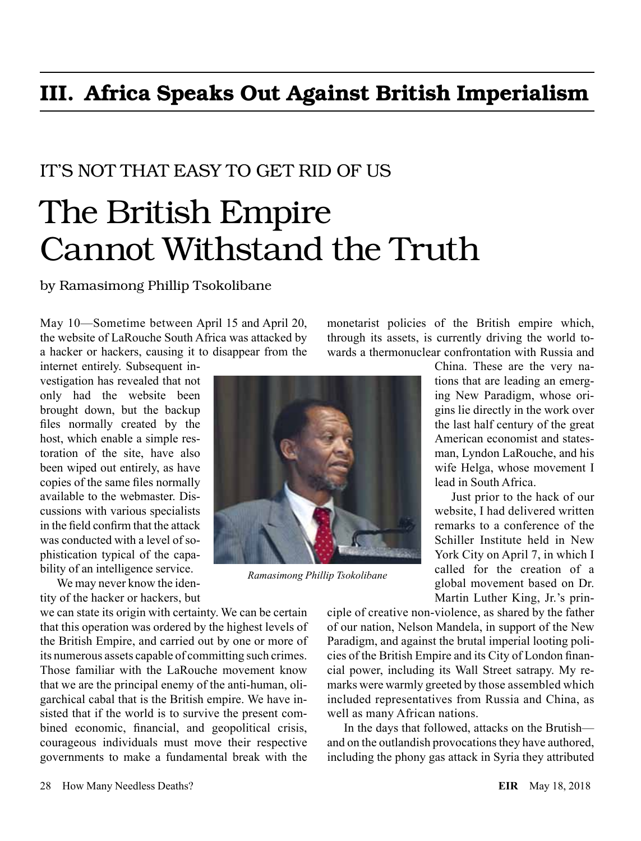## III. Africa Speaks Out Against British Imperialism

## IT'S NOT THAT EASY TO GET RID OF US

## The British Empire Cannot Withstand the Truth

by Ramasimong Phillip Tsokolibane

May 10—Sometime between April 15 and April 20, the website of LaRouche South Africa was attacked by a hacker or hackers, causing it to disappear from the

internet entirely. Subsequent investigation has revealed that not only had the website been brought down, but the backup files normally created by the host, which enable a simple restoration of the site, have also been wiped out entirely, as have copies of the same files normally available to the webmaster. Discussions with various specialists in the field confirm that the attack was conducted with a level of sophistication typical of the capability of an intelligence service.

We may never know the identity of the hacker or hackers, but

we can state its origin with certainty. We can be certain that this operation was ordered by the highest levels of the British Empire, and carried out by one or more of its numerous assets capable of committing such crimes. Those familiar with the LaRouche movement know that we are the principal enemy of the anti-human, oligarchical cabal that is the British empire. We have insisted that if the world is to survive the present combined economic, financial, and geopolitical crisis, courageous individuals must move their respective governments to make a fundamental break with the

monetarist policies of the British empire which, through its assets, is currently driving the world towards a thermonuclear confrontation with Russia and

China. These are the very nations that are leading an emerging New Paradigm, whose origins lie directly in the work over the last half century of the great American economist and statesman, Lyndon LaRouche, and his wife Helga, whose movement I lead in South Africa.

Just prior to the hack of our website, I had delivered written remarks to a conference of the Schiller Institute held in New York City on April 7, in which I called for the creation of a global movement based on Dr. Martin Luther King, Jr.'s prin-

ciple of creative non-violence, as shared by the father of our nation, Nelson Mandela, in support of the New Paradigm, and against the brutal imperial looting policies of the British Empire and its City of London financial power, including its Wall Street satrapy. My remarks were warmly greeted by those assembled which included representatives from Russia and China, as well as many African nations.

In the days that followed, attacks on the Brutish and on the outlandish provocations they have authored, including the phony gas attack in Syria they attributed



*Ramasimong Phillip Tsokolibane*